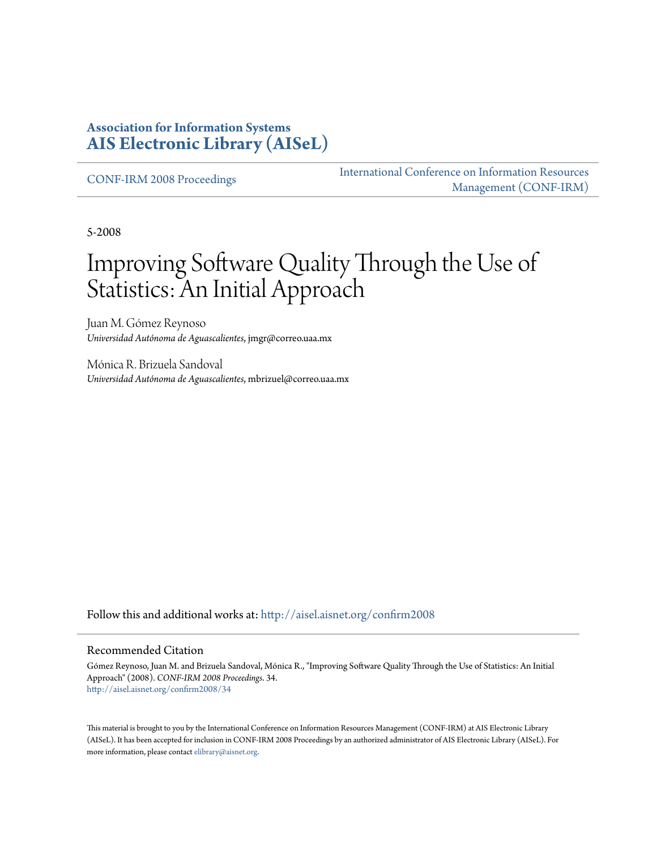#### **Association for Information Systems [AIS Electronic Library \(AISeL\)](http://aisel.aisnet.org?utm_source=aisel.aisnet.org%2Fconfirm2008%2F34&utm_medium=PDF&utm_campaign=PDFCoverPages)**

[CONF-IRM 2008 Proceedings](http://aisel.aisnet.org/confirm2008?utm_source=aisel.aisnet.org%2Fconfirm2008%2F34&utm_medium=PDF&utm_campaign=PDFCoverPages)

[International Conference on Information Resources](http://aisel.aisnet.org/conf-irm?utm_source=aisel.aisnet.org%2Fconfirm2008%2F34&utm_medium=PDF&utm_campaign=PDFCoverPages) [Management \(CONF-IRM\)](http://aisel.aisnet.org/conf-irm?utm_source=aisel.aisnet.org%2Fconfirm2008%2F34&utm_medium=PDF&utm_campaign=PDFCoverPages)

5-2008

# Improving Software Quality Through the Use of Statistics: An Initial Approach

Juan M. Gómez Reynoso *Universidad Autónoma de Aguascalientes*, jmgr@correo.uaa.mx

Mónica R. Brizuela Sandoval *Universidad Autónoma de Aguascalientes*, mbrizuel@correo.uaa.mx

Follow this and additional works at: [http://aisel.aisnet.org/confirm2008](http://aisel.aisnet.org/confirm2008?utm_source=aisel.aisnet.org%2Fconfirm2008%2F34&utm_medium=PDF&utm_campaign=PDFCoverPages)

#### Recommended Citation

Gómez Reynoso, Juan M. and Brizuela Sandoval, Mónica R., "Improving Software Quality Through the Use of Statistics: An Initial Approach" (2008). *CONF-IRM 2008 Proceedings*. 34. [http://aisel.aisnet.org/confirm2008/34](http://aisel.aisnet.org/confirm2008/34?utm_source=aisel.aisnet.org%2Fconfirm2008%2F34&utm_medium=PDF&utm_campaign=PDFCoverPages)

This material is brought to you by the International Conference on Information Resources Management (CONF-IRM) at AIS Electronic Library (AISeL). It has been accepted for inclusion in CONF-IRM 2008 Proceedings by an authorized administrator of AIS Electronic Library (AISeL). For more information, please contact [elibrary@aisnet.org.](mailto:elibrary@aisnet.org%3E)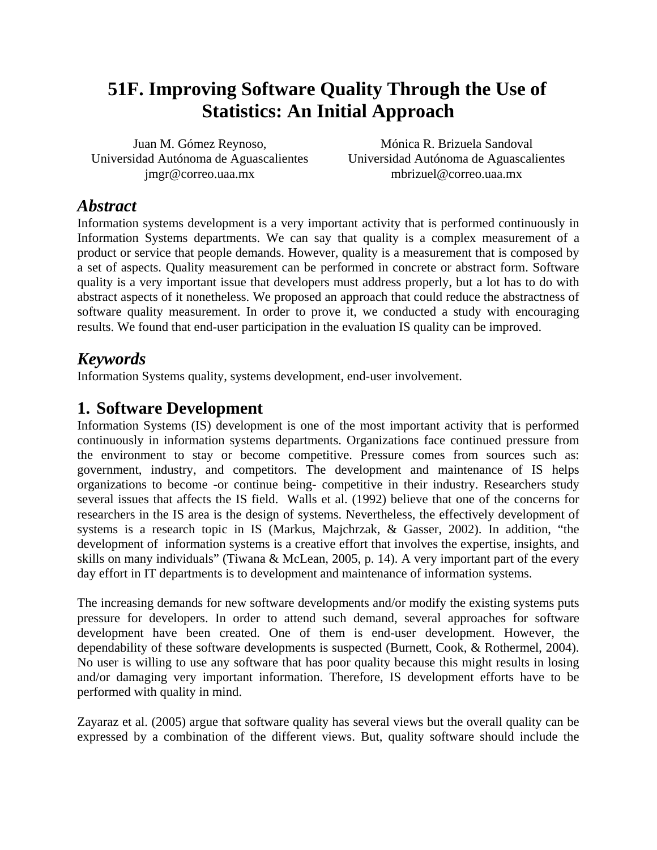## **51F. Improving Software Quality Through the Use of Statistics: An Initial Approach**

Juan M. Gómez Reynoso, Universidad Autónoma de Aguascalientes jmgr@correo.uaa.mx

Mónica R. Brizuela Sandoval Universidad Autónoma de Aguascalientes mbrizuel@correo.uaa.mx

## *Abstract*

Information systems development is a very important activity that is performed continuously in Information Systems departments. We can say that quality is a complex measurement of a product or service that people demands. However, quality is a measurement that is composed by a set of aspects. Quality measurement can be performed in concrete or abstract form. Software quality is a very important issue that developers must address properly, but a lot has to do with abstract aspects of it nonetheless. We proposed an approach that could reduce the abstractness of software quality measurement. In order to prove it, we conducted a study with encouraging results. We found that end-user participation in the evaluation IS quality can be improved.

## *Keywords*

Information Systems quality, systems development, end-user involvement.

## **1. Software Development**

Information Systems (IS) development is one of the most important activity that is performed continuously in information systems departments. Organizations face continued pressure from the environment to stay or become competitive. Pressure comes from sources such as: government, industry, and competitors. The development and maintenance of IS helps organizations to become -or continue being- competitive in their industry. Researchers study several issues that affects the IS field. Walls et al. (1992) believe that one of the concerns for researchers in the IS area is the design of systems. Nevertheless, the effectively development of systems is a research topic in IS (Markus, Majchrzak, & Gasser, 2002). In addition, "the development of information systems is a creative effort that involves the expertise, insights, and skills on many individuals" (Tiwana & McLean, 2005, p. 14). A very important part of the every day effort in IT departments is to development and maintenance of information systems.

The increasing demands for new software developments and/or modify the existing systems puts pressure for developers. In order to attend such demand, several approaches for software development have been created. One of them is end-user development. However, the dependability of these software developments is suspected (Burnett, Cook, & Rothermel, 2004). No user is willing to use any software that has poor quality because this might results in losing and/or damaging very important information. Therefore, IS development efforts have to be performed with quality in mind.

Zayaraz et al. (2005) argue that software quality has several views but the overall quality can be expressed by a combination of the different views. But, quality software should include the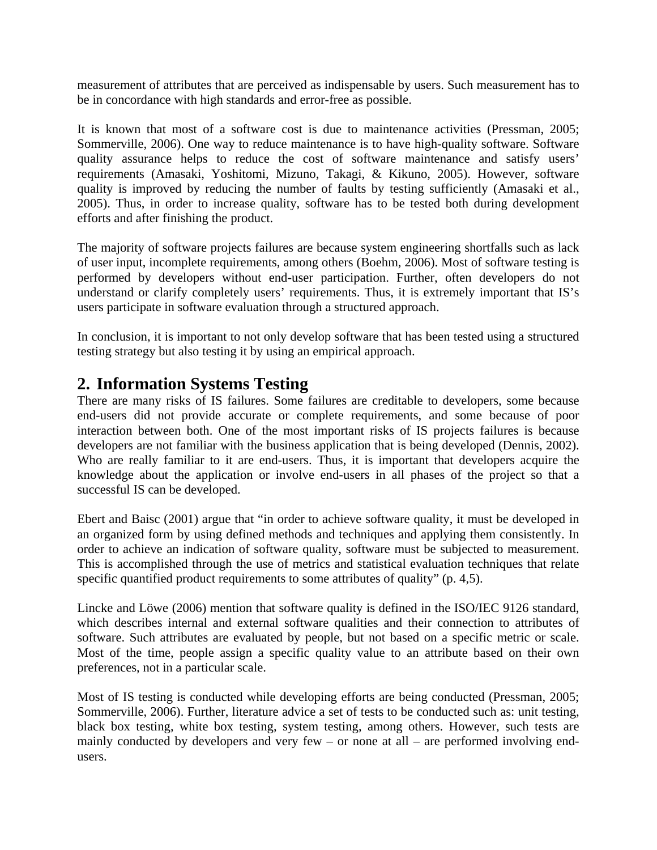measurement of attributes that are perceived as indispensable by users. Such measurement has to be in concordance with high standards and error-free as possible.

It is known that most of a software cost is due to maintenance activities (Pressman, 2005; Sommerville, 2006). One way to reduce maintenance is to have high-quality software. Software quality assurance helps to reduce the cost of software maintenance and satisfy users' requirements (Amasaki, Yoshitomi, Mizuno, Takagi, & Kikuno, 2005). However, software quality is improved by reducing the number of faults by testing sufficiently (Amasaki et al., 2005). Thus, in order to increase quality, software has to be tested both during development efforts and after finishing the product.

The majority of software projects failures are because system engineering shortfalls such as lack of user input, incomplete requirements, among others (Boehm, 2006). Most of software testing is performed by developers without end-user participation. Further, often developers do not understand or clarify completely users' requirements. Thus, it is extremely important that IS's users participate in software evaluation through a structured approach.

In conclusion, it is important to not only develop software that has been tested using a structured testing strategy but also testing it by using an empirical approach.

## **2. Information Systems Testing**

There are many risks of IS failures. Some failures are creditable to developers, some because end-users did not provide accurate or complete requirements, and some because of poor interaction between both. One of the most important risks of IS projects failures is because developers are not familiar with the business application that is being developed (Dennis, 2002). Who are really familiar to it are end-users. Thus, it is important that developers acquire the knowledge about the application or involve end-users in all phases of the project so that a successful IS can be developed.

Ebert and Baisc (2001) argue that "in order to achieve software quality, it must be developed in an organized form by using defined methods and techniques and applying them consistently. In order to achieve an indication of software quality, software must be subjected to measurement. This is accomplished through the use of metrics and statistical evaluation techniques that relate specific quantified product requirements to some attributes of quality" (p. 4,5).

Lincke and Löwe (2006) mention that software quality is defined in the ISO/IEC 9126 standard, which describes internal and external software qualities and their connection to attributes of software. Such attributes are evaluated by people, but not based on a specific metric or scale. Most of the time, people assign a specific quality value to an attribute based on their own preferences, not in a particular scale.

Most of IS testing is conducted while developing efforts are being conducted (Pressman, 2005; Sommerville, 2006). Further, literature advice a set of tests to be conducted such as: unit testing, black box testing, white box testing, system testing, among others. However, such tests are mainly conducted by developers and very few – or none at all – are performed involving endusers.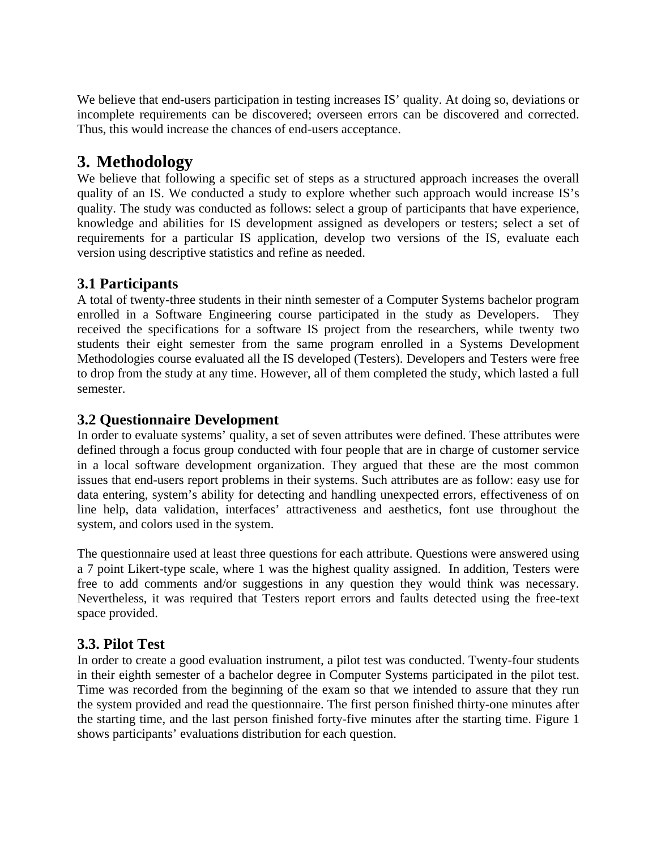We believe that end-users participation in testing increases IS' quality. At doing so, deviations or incomplete requirements can be discovered; overseen errors can be discovered and corrected. Thus, this would increase the chances of end-users acceptance.

## **3. Methodology**

We believe that following a specific set of steps as a structured approach increases the overall quality of an IS. We conducted a study to explore whether such approach would increase IS's quality. The study was conducted as follows: select a group of participants that have experience, knowledge and abilities for IS development assigned as developers or testers; select a set of requirements for a particular IS application, develop two versions of the IS, evaluate each version using descriptive statistics and refine as needed.

#### **3.1 Participants**

A total of twenty-three students in their ninth semester of a Computer Systems bachelor program enrolled in a Software Engineering course participated in the study as Developers. They received the specifications for a software IS project from the researchers, while twenty two students their eight semester from the same program enrolled in a Systems Development Methodologies course evaluated all the IS developed (Testers). Developers and Testers were free to drop from the study at any time. However, all of them completed the study, which lasted a full semester.

#### **3.2 Questionnaire Development**

In order to evaluate systems' quality, a set of seven attributes were defined. These attributes were defined through a focus group conducted with four people that are in charge of customer service in a local software development organization. They argued that these are the most common issues that end-users report problems in their systems. Such attributes are as follow: easy use for data entering, system's ability for detecting and handling unexpected errors, effectiveness of on line help, data validation, interfaces' attractiveness and aesthetics, font use throughout the system, and colors used in the system.

The questionnaire used at least three questions for each attribute. Questions were answered using a 7 point Likert-type scale, where 1 was the highest quality assigned. In addition, Testers were free to add comments and/or suggestions in any question they would think was necessary. Nevertheless, it was required that Testers report errors and faults detected using the free-text space provided.

#### **3.3. Pilot Test**

In order to create a good evaluation instrument, a pilot test was conducted. Twenty-four students in their eighth semester of a bachelor degree in Computer Systems participated in the pilot test. Time was recorded from the beginning of the exam so that we intended to assure that they run the system provided and read the questionnaire. The first person finished thirty-one minutes after the starting time, and the last person finished forty-five minutes after the starting time. Figure 1 shows participants' evaluations distribution for each question.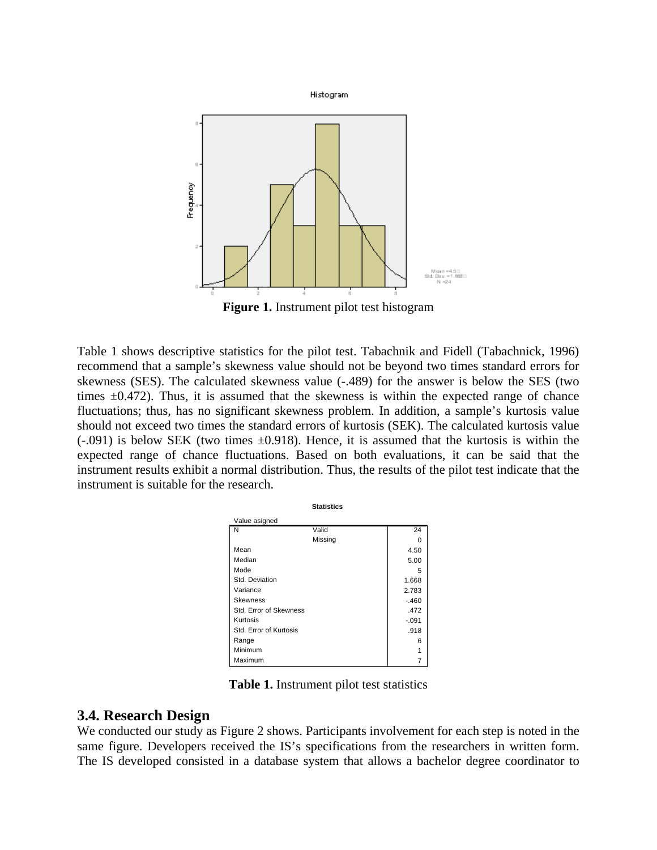

**Figure 1.** Instrument pilot test histogram

Table 1 shows descriptive statistics for the pilot test. Tabachnik and Fidell (Tabachnick, 1996) recommend that a sample's skewness value should not be beyond two times standard errors for skewness (SES). The calculated skewness value (-.489) for the answer is below the SES (two times  $\pm 0.472$ ). Thus, it is assumed that the skewness is within the expected range of chance fluctuations; thus, has no significant skewness problem. In addition, a sample's kurtosis value should not exceed two times the standard errors of kurtosis (SEK). The calculated kurtosis value  $(-.091)$  is below SEK (two times  $\pm 0.918$ ). Hence, it is assumed that the kurtosis is within the expected range of chance fluctuations. Based on both evaluations, it can be said that the instrument results exhibit a normal distribution. Thus, the results of the pilot test indicate that the instrument is suitable for the research.

|                        | <b>Statistics</b> |         |
|------------------------|-------------------|---------|
| Value asigned          |                   |         |
| N                      | Valid             | 24      |
|                        | Missing           |         |
| Mean                   |                   | 4.50    |
| Median                 |                   | 5.00    |
| Mode                   |                   | 5       |
| Std. Deviation         |                   | 1.668   |
| Variance               |                   | 2.783   |
| <b>Skewness</b>        |                   | $-.460$ |
| Std. Error of Skewness |                   | .472    |
| Kurtosis               |                   | $-.091$ |
| Std. Error of Kurtosis |                   | .918    |
| Range                  |                   | 6       |
| Minimum                |                   |         |
| Maximum                |                   |         |

**Table 1.** Instrument pilot test statistics

#### **3.4. Research Design**

We conducted our study as Figure 2 shows. Participants involvement for each step is noted in the same figure. Developers received the IS's specifications from the researchers in written form. The IS developed consisted in a database system that allows a bachelor degree coordinator to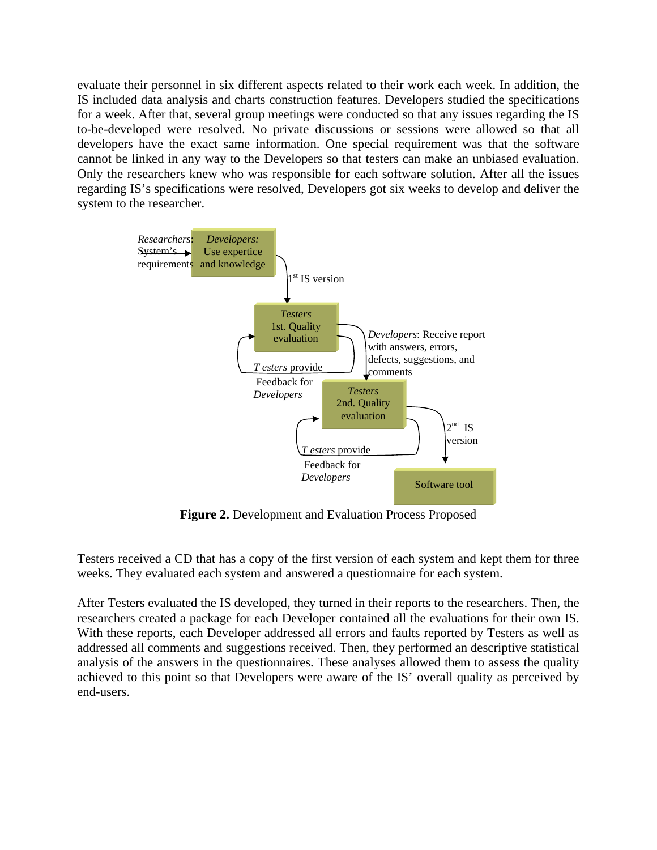evaluate their personnel in six different aspects related to their work each week. In addition, the IS included data analysis and charts construction features. Developers studied the specifications for a week. After that, several group meetings were conducted so that any issues regarding the IS to-be-developed were resolved. No private discussions or sessions were allowed so that all developers have the exact same information. One special requirement was that the software cannot be linked in any way to the Developers so that testers can make an unbiased evaluation. Only the researchers knew who was responsible for each software solution. After all the issues regarding IS's specifications were resolved, Developers got six weeks to develop and deliver the system to the researcher.



**Figure 2.** Development and Evaluation Process Proposed

Testers received a CD that has a copy of the first version of each system and kept them for three weeks. They evaluated each system and answered a questionnaire for each system.

After Testers evaluated the IS developed, they turned in their reports to the researchers. Then, the researchers created a package for each Developer contained all the evaluations for their own IS. With these reports, each Developer addressed all errors and faults reported by Testers as well as addressed all comments and suggestions received. Then, they performed an descriptive statistical analysis of the answers in the questionnaires. These analyses allowed them to assess the quality achieved to this point so that Developers were aware of the IS' overall quality as perceived by end-users.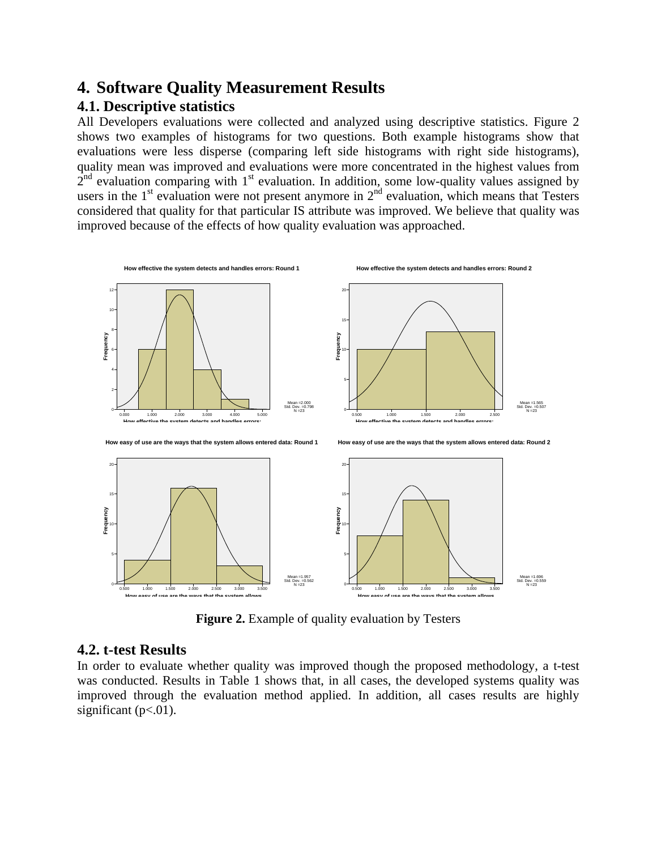## **4. Software Quality Measurement Results 4.1. Descriptive statistics**

All Developers evaluations were collected and analyzed using descriptive statistics. Figure 2 shows two examples of histograms for two questions. Both example histograms show that evaluations were less disperse (comparing left side histograms with right side histograms), quality mean was improved and evaluations were more concentrated in the highest values from  $2<sup>nd</sup>$  evaluation comparing with 1<sup>st</sup> evaluation. In addition, some low-quality values assigned by users in the  $1<sup>st</sup>$  evaluation were not present anymore in  $2<sup>nd</sup>$  evaluation, which means that Testers considered that quality for that particular IS attribute was improved. We believe that quality was improved because of the effects of how quality evaluation was approached.



**Figure 2.** Example of quality evaluation by Testers

#### **4.2. t-test Results**

In order to evaluate whether quality was improved though the proposed methodology, a t-test was conducted. Results in Table 1 shows that, in all cases, the developed systems quality was improved through the evaluation method applied. In addition, all cases results are highly significant  $(p<.01)$ .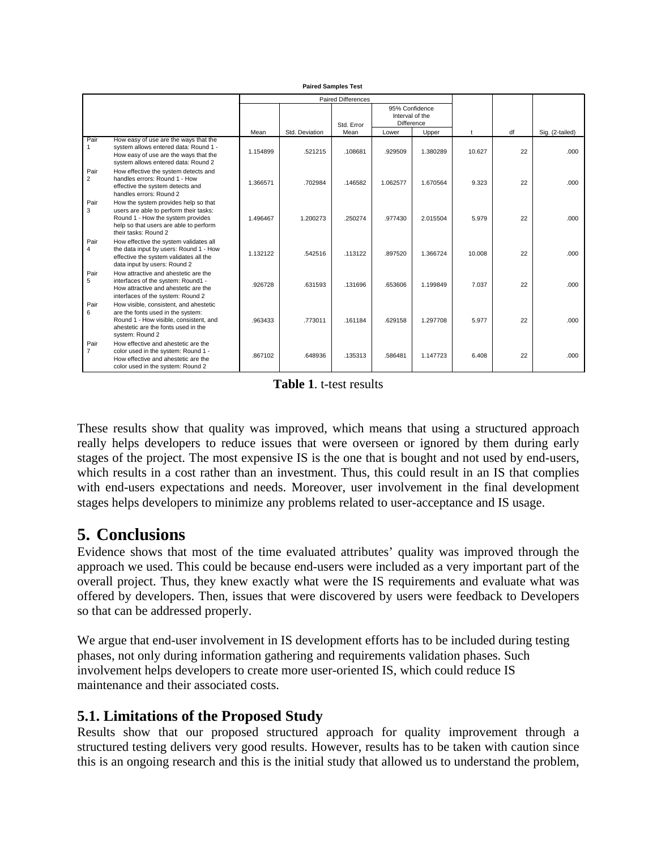|                        |                                                                                                                                                                                       |          |                | <b>Paired Differences</b><br>Std. Error | 95% Confidence<br>Interval of the<br>Difference |          |        |    |                 |
|------------------------|---------------------------------------------------------------------------------------------------------------------------------------------------------------------------------------|----------|----------------|-----------------------------------------|-------------------------------------------------|----------|--------|----|-----------------|
|                        |                                                                                                                                                                                       | Mean     | Std. Deviation | Mean                                    | Lower                                           | Upper    | t      | df | Sig. (2-tailed) |
| Pair<br>$\mathbf{1}$   | How easy of use are the ways that the<br>system allows entered data: Round 1 -<br>How easy of use are the ways that the<br>system allows entered data: Round 2                        | 1.154899 | .521215        | .108681                                 | .929509                                         | 1.380289 | 10.627 | 22 | .000            |
| Pair<br>$\overline{2}$ | How effective the system detects and<br>handles errors: Round 1 - How<br>effective the system detects and<br>handles errors: Round 2                                                  | 1.366571 | .702984        | .146582                                 | 1.062577                                        | 1.670564 | 9.323  | 22 | .000            |
| Pair<br>3              | How the system provides help so that<br>users are able to perform their tasks:<br>Round 1 - How the system provides<br>help so that users are able to perform<br>their tasks: Round 2 | 1.496467 | 1.200273       | .250274                                 | .977430                                         | 2.015504 | 5.979  | 22 | .000.           |
| Pair<br>4              | How effective the system validates all<br>the data input by users: Round 1 - How<br>effective the system validates all the<br>data input by users: Round 2                            | 1.132122 | .542516        | .113122                                 | .897520                                         | 1.366724 | 10.008 | 22 | .000.           |
| Pair<br>5              | How attractive and ahestetic are the<br>interfaces of the system: Round1 -<br>How attractive and ahestetic are the<br>interfaces of the system: Round 2                               | .926728  | .631593        | .131696                                 | .653606                                         | 1.199849 | 7.037  | 22 | .000.           |
| Pair<br>6              | How visible, consistent, and ahestetic<br>are the fonts used in the system:<br>Round 1 - How visible, consistent, and<br>ahestetic are the fonts used in the<br>system: Round 2       | .963433  | .773011        | .161184                                 | .629158                                         | 1.297708 | 5.977  | 22 | .000            |
| Pair<br>$\overline{7}$ | How effective and ahestetic are the<br>color used in the system: Round 1 -<br>How effective and ahestetic are the<br>color used in the system: Round 2                                | .867102  | .648936        | .135313                                 | .586481                                         | 1.147723 | 6.408  | 22 | .000            |

**Paired Samples Test**

**Table 1**. t-test results

These results show that quality was improved, which means that using a structured approach really helps developers to reduce issues that were overseen or ignored by them during early stages of the project. The most expensive IS is the one that is bought and not used by end-users, which results in a cost rather than an investment. Thus, this could result in an IS that complies with end-users expectations and needs. Moreover, user involvement in the final development stages helps developers to minimize any problems related to user-acceptance and IS usage.

## **5. Conclusions**

Evidence shows that most of the time evaluated attributes' quality was improved through the approach we used. This could be because end-users were included as a very important part of the overall project. Thus, they knew exactly what were the IS requirements and evaluate what was offered by developers. Then, issues that were discovered by users were feedback to Developers so that can be addressed properly.

We argue that end-user involvement in IS development efforts has to be included during testing phases, not only during information gathering and requirements validation phases. Such involvement helps developers to create more user-oriented IS, which could reduce IS maintenance and their associated costs.

## **5.1. Limitations of the Proposed Study**

Results show that our proposed structured approach for quality improvement through a structured testing delivers very good results. However, results has to be taken with caution since this is an ongoing research and this is the initial study that allowed us to understand the problem,